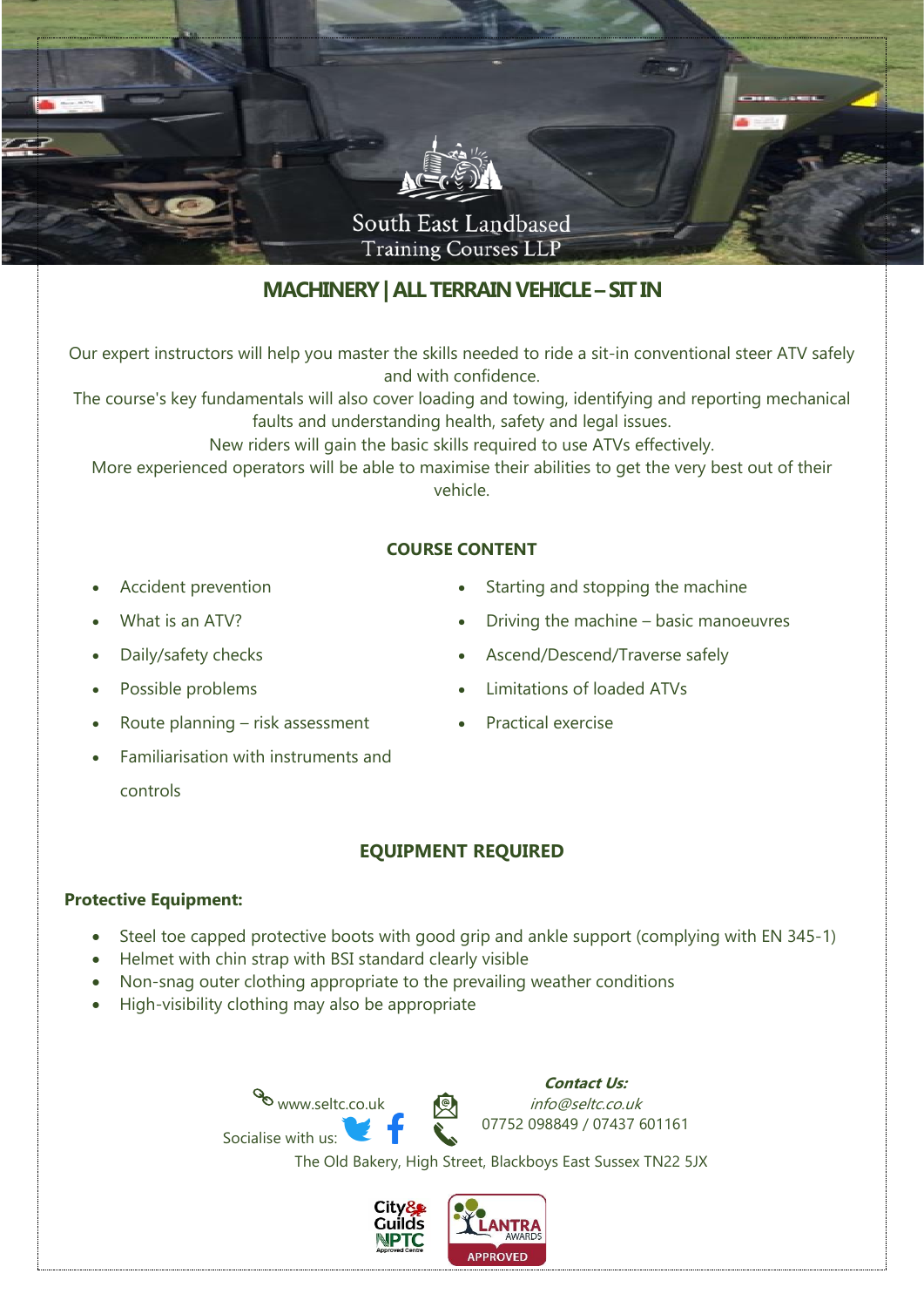

# **MACHINERY| ALL TERRAIN VEHICLE –SIT IN**

Our expert instructors will help you master the skills needed to ride a sit-in conventional steer ATV safely and with confidence.

The course's key fundamentals will also cover loading and towing, identifying and reporting mechanical faults and understanding health, safety and legal issues.

New riders will gain the basic skills required to use ATVs effectively.

More experienced operators will be able to maximise their abilities to get the very best out of their vehicle.

### **COURSE CONTENT**

- Accident prevention
- What is an ATV?
- Daily/safety checks
- Possible problems
- Route planning risk assessment
- Familiarisation with instruments and controls
- Starting and stopping the machine
- Driving the machine basic manoeuvres
- Ascend/Descend/Traverse safely
- Limitations of loaded ATVs
- Practical exercise

### **EQUIPMENT REQUIRED**

#### **Protective Equipment:**

- Steel toe capped protective boots with good grip and ankle support (complying with EN 345-1)
- Helmet with chin strap with BSI standard clearly visible

www.seltc.co.uk

- Non-snag outer clothing appropriate to the prevailing weather conditions
- High-visibility clothing may also be appropriate

Socialise with us:

**Contact Us:** info@seltc.co.uk 07752 098849 / 07437 601161

The Old Bakery, High Street, Blackboys East Sussex TN22 5JX